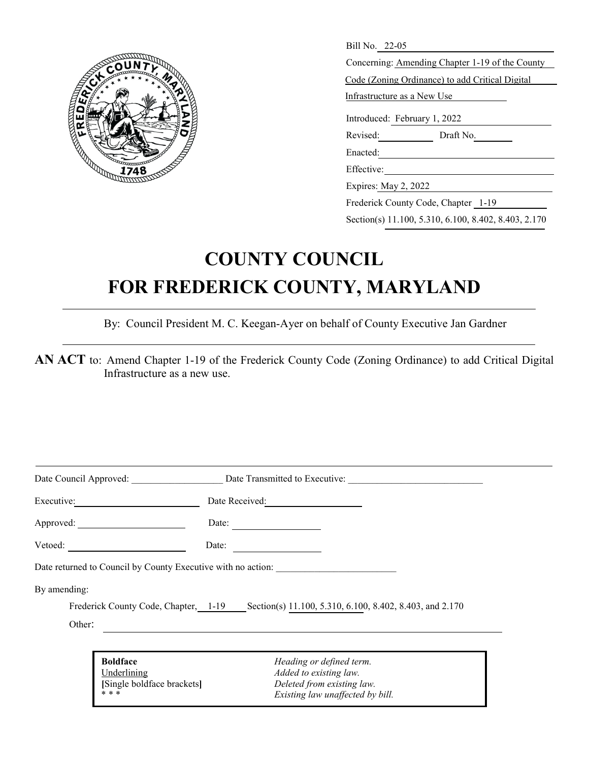

| Bill No. 22-05                                  |  |  |  |  |  |
|-------------------------------------------------|--|--|--|--|--|
| Concerning: Amending Chapter 1-19 of the County |  |  |  |  |  |
| Code (Zoning Ordinance) to add Critical Digital |  |  |  |  |  |
| Infrastructure as a New Use                     |  |  |  |  |  |
| Introduced: February 1, 2022                    |  |  |  |  |  |
| Revised:<br>Draft No.                           |  |  |  |  |  |
| Enacted:                                        |  |  |  |  |  |
| Effective:                                      |  |  |  |  |  |
| Expires: May 2, 2022                            |  |  |  |  |  |
| Frederick County Code, Chapter 1-19             |  |  |  |  |  |

Section(s) 11.100, 5.310, 6.100, 8.402, 8.403, 2.170

## **COUNTY COUNCIL FOR FREDERICK COUNTY, MARYLAND**

By: Council President M. C. Keegan-Ayer on behalf of County Executive Jan Gardner

**AN ACT** to: Amend Chapter 1-19 of the Frederick County Code (Zoning Ordinance) to add Critical Digital Infrastructure as a new use.

|                                |                            | Date Council Approved: Date Transmitted to Executive:                                         |  |
|--------------------------------|----------------------------|-----------------------------------------------------------------------------------------------|--|
| Executive:                     |                            | Date Received:                                                                                |  |
|                                | Date:                      |                                                                                               |  |
| Vetoed:                        | Date:                      |                                                                                               |  |
|                                |                            | Date returned to Council by County Executive with no action:                                  |  |
| By amending:                   |                            |                                                                                               |  |
|                                |                            | Frederick County Code, Chapter, 1-19 Section(s) 11.100, 5.310, 6.100, 8.402, 8.403, and 2.170 |  |
| Other:                         |                            |                                                                                               |  |
|                                |                            |                                                                                               |  |
| <b>Boldface</b><br>Underlining |                            | Heading or defined term.<br>Added to existing law.                                            |  |
| * * *                          | [Single boldface brackets] | Deleted from existing law.<br>Existing law unaffected by bill.                                |  |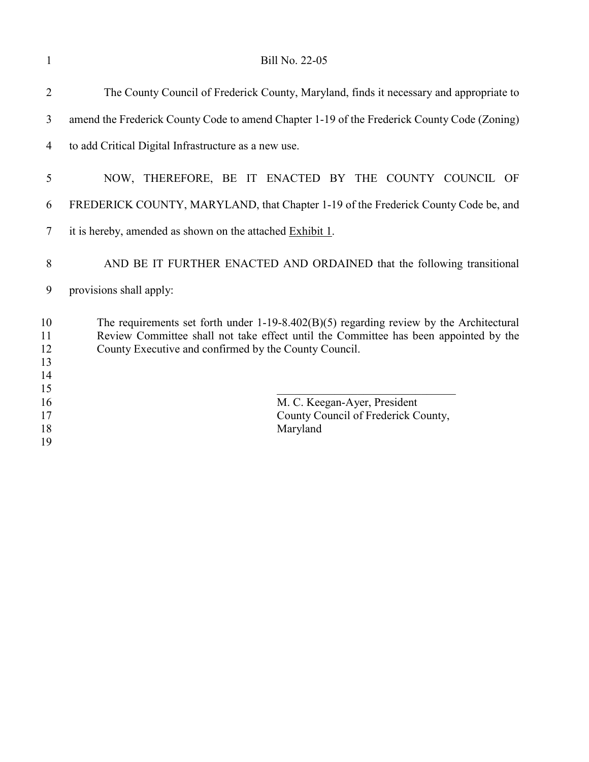| 1                          | Bill No. 22-05                                                                                                                                                                                                                             |
|----------------------------|--------------------------------------------------------------------------------------------------------------------------------------------------------------------------------------------------------------------------------------------|
| 2                          | The County Council of Frederick County, Maryland, finds it necessary and appropriate to                                                                                                                                                    |
| 3                          | amend the Frederick County Code to amend Chapter 1-19 of the Frederick County Code (Zoning)                                                                                                                                                |
| 4                          | to add Critical Digital Infrastructure as a new use.                                                                                                                                                                                       |
| 5                          | NOW, THEREFORE, BE IT ENACTED BY THE COUNTY COUNCIL OF                                                                                                                                                                                     |
| 6                          | FREDERICK COUNTY, MARYLAND, that Chapter 1-19 of the Frederick County Code be, and                                                                                                                                                         |
| 7                          | it is hereby, amended as shown on the attached Exhibit 1.                                                                                                                                                                                  |
| 8                          | AND BE IT FURTHER ENACTED AND ORDAINED that the following transitional                                                                                                                                                                     |
| 9                          | provisions shall apply:                                                                                                                                                                                                                    |
| 10<br>11<br>12<br>13<br>14 | The requirements set forth under $1-19-8.402(B)(5)$ regarding review by the Architectural<br>Review Committee shall not take effect until the Committee has been appointed by the<br>County Executive and confirmed by the County Council. |
| 15<br>16<br>17<br>18<br>19 | M. C. Keegan-Ayer, President<br>County Council of Frederick County,<br>Maryland                                                                                                                                                            |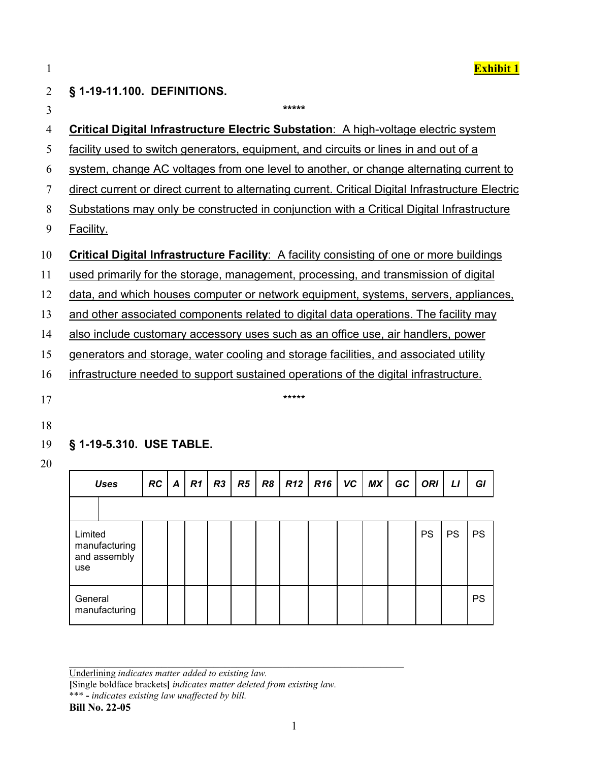1 **Exhibit 1**

# 2 **§ 1-19-11.100. DEFINITIONS.**

| 3  | *****                                                                                             |
|----|---------------------------------------------------------------------------------------------------|
| 4  | <b>Critical Digital Infrastructure Electric Substation: A high-voltage electric system</b>        |
| 5  | facility used to switch generators, equipment, and circuits or lines in and out of a              |
| 6  | system, change AC voltages from one level to another, or change alternating current to            |
| 7  | direct current or direct current to alternating current. Critical Digital Infrastructure Electric |
| 8  | Substations may only be constructed in conjunction with a Critical Digital Infrastructure         |
| 9  | Facility.                                                                                         |
| 10 | Critical Digital Infrastructure Facility: A facility consisting of one or more buildings          |
| 11 | used primarily for the storage, management, processing, and transmission of digital               |
| 12 | data, and which houses computer or network equipment, systems, servers, appliances,               |
| 13 | and other associated components related to digital data operations. The facility may              |
| 14 | also include customary accessory uses such as an office use, air handlers, power                  |
| 15 | generators and storage, water cooling and storage facilities, and associated utility              |
| 16 | infrastructure needed to support sustained operations of the digital infrastructure.              |
| 17 | *****                                                                                             |
| 18 |                                                                                                   |

## 19 **§ 1-19-5.310. USE TABLE.**

20

| <b>Uses</b>                                     | RC | A | R <sub>1</sub> | R <sub>3</sub> | R5 | $R8$ $R12$ | $R16$ VC | <b>MX</b> | GC | <b>ORI</b> | LI        | GI        |
|-------------------------------------------------|----|---|----------------|----------------|----|------------|----------|-----------|----|------------|-----------|-----------|
|                                                 |    |   |                |                |    |            |          |           |    |            |           |           |
| Limited<br>manufacturing<br>and assembly<br>use |    |   |                |                |    |            |          |           |    | <b>PS</b>  | <b>PS</b> | <b>PS</b> |
| General<br>manufacturing                        |    |   |                |                |    |            |          |           |    |            |           | PS        |

**[**Single boldface brackets**]** *indicates matter deleted from existing law.*

#### **Bill No. 22-05**

Underlining *indicates matter added to existing law.*

<sup>\*\*\*</sup> **-** *indicates existing law unaffected by bill.*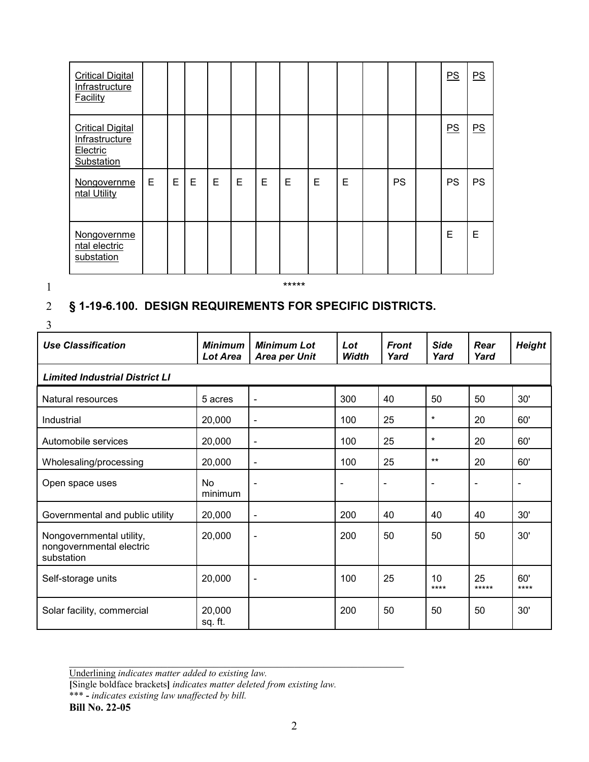| <b>Critical Digital</b><br>Infrastructure<br>Facility               |   |   |   |   |   |   |   |   |   |           | PS        | PS        |
|---------------------------------------------------------------------|---|---|---|---|---|---|---|---|---|-----------|-----------|-----------|
| <b>Critical Digital</b><br>Infrastructure<br>Electric<br>Substation |   |   |   |   |   |   |   |   |   |           | PS        | PS        |
| Nongovernme<br>ntal Utility                                         | Е | Е | Е | Е | E | E | E | E | E | <b>PS</b> | <b>PS</b> | <b>PS</b> |
| Nongovernme<br>ntal electric<br>substation                          |   |   |   |   |   |   |   |   |   |           | E         | E         |

1 \*\*\*\*\*

### 2 **§ 1-19-6.100. DESIGN REQUIREMENTS FOR SPECIFIC DISTRICTS.**

3

| J                                                                  |                            |                                            |                     |                      |                     |              |               |
|--------------------------------------------------------------------|----------------------------|--------------------------------------------|---------------------|----------------------|---------------------|--------------|---------------|
| <b>Use Classification</b>                                          | <b>Minimum</b><br>Lot Area | <b>Minimum Lot</b><br><b>Area per Unit</b> | Lot<br><b>Width</b> | <b>Front</b><br>Yard | <b>Side</b><br>Yard | Rear<br>Yard | <b>Height</b> |
| <b>Limited Industrial District LI</b>                              |                            |                                            |                     |                      |                     |              |               |
| Natural resources                                                  | 5 acres                    | $\blacksquare$                             | 300                 | 40                   | 50                  | 50           | 30'           |
| Industrial                                                         | 20,000                     | $\overline{\phantom{a}}$                   | 100                 | 25                   | $\star$             | 20           | 60'           |
| Automobile services                                                | 20,000                     | $\overline{\phantom{a}}$                   | 100                 | 25                   | $\star$             | 20           | 60'           |
| Wholesaling/processing                                             | 20,000                     | $\blacksquare$                             | 100                 | 25                   | $***$               | 20           | 60'           |
| Open space uses                                                    | No<br>minimum              | $\blacksquare$                             |                     | ۰                    |                     |              |               |
| Governmental and public utility                                    | 20,000                     | $\blacksquare$                             | 200                 | 40                   | 40                  | 40           | 30'           |
| Nongovernmental utility,<br>nongovernmental electric<br>substation | 20,000                     | $\blacksquare$                             | 200                 | 50                   | 50                  | 50           | 30'           |
| Self-storage units                                                 | 20,000                     | $\blacksquare$                             | 100                 | 25                   | 10<br>$***$         | 25<br>*****  | 60'<br>$***$  |
| Solar facility, commercial                                         | 20,000<br>sq. ft.          |                                            | 200                 | 50                   | 50                  | 50           | 30'           |

Underlining *indicates matter added to existing law.*

**[**Single boldface brackets**]** *indicates matter deleted from existing law.*

\*\*\* **-** *indicates existing law unaffected by bill.*

**Bill No. 22-05**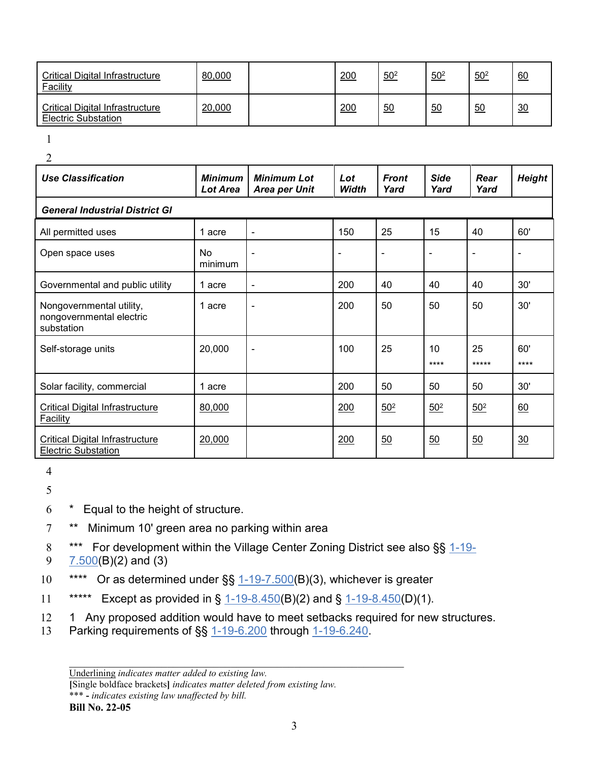| <b>Critical Digital Infrastructure</b><br><b>Facility</b>     | 80,000 | 200 | $50^{2}$ | $50^{2}$ | $50^{2}$ | 60 |
|---------------------------------------------------------------|--------|-----|----------|----------|----------|----|
| Critical Digital Infrastructure<br><b>Electric Substation</b> | 20,000 | 200 | 50       | 50       | 50       | 30 |

1

 $\mathcal{L}$ 

| <b>Use Classification</b>                                            | <b>Minimum</b><br>Lot Area | <b>Minimum Lot</b><br><b>Area per Unit</b> | Lot<br><b>Width</b> | <b>Front</b><br>Yard | <b>Side</b><br>Yard | Rear<br>Yard | <b>Height</b>  |
|----------------------------------------------------------------------|----------------------------|--------------------------------------------|---------------------|----------------------|---------------------|--------------|----------------|
| <b>General Industrial District GI</b>                                |                            |                                            |                     |                      |                     |              |                |
| All permitted uses                                                   | 1 acre                     | ÷                                          | 150                 | 25                   | 15                  | 40           | 60'            |
| Open space uses                                                      | No<br>minimum              | $\blacksquare$                             | ۰                   | $\blacksquare$       | ٠                   |              | $\blacksquare$ |
| Governmental and public utility                                      | 1 acre                     | $\overline{\phantom{a}}$                   | 200                 | 40                   | 40                  | 40           | 30'            |
| Nongovernmental utility,<br>nongovernmental electric<br>substation   | 1 acre                     | $\blacksquare$                             | 200                 | 50                   | 50                  | 50           | 30'            |
| Self-storage units                                                   | 20,000                     | $\blacksquare$                             | 100                 | 25                   | 10<br>$***$ *       | 25<br>*****  | 60'<br>****    |
| Solar facility, commercial                                           | 1 acre                     |                                            | 200                 | 50                   | 50                  | 50           | 30'            |
| <b>Critical Digital Infrastructure</b><br><b>Facility</b>            | 80,000                     |                                            | 200                 | $50^{2}$             | $50^{2}$            | $50^{2}$     | 60             |
| <b>Critical Digital Infrastructure</b><br><b>Electric Substation</b> | 20,000                     |                                            | 200                 | 50                   | 50                  | 50           | 30             |

4

5

6 \* Equal to the height of structure.

7 \*\* Minimum 10' green area no parking within area

8 \*\*\* For development within the Village Center Zoning District see also §§ [1-19-](https://codelibrary.amlegal.com/codes/frederickcounty/latest/frederickco_md/0-0-0-34586#JD_1-19-7.500) 9 [7.500\(](https://codelibrary.amlegal.com/codes/frederickcounty/latest/frederickco_md/0-0-0-34586#JD_1-19-7.500)B)(2) and (3)

- 10 \*\*\*\* Or as determined under §§ [1-19-7.500\(](https://codelibrary.amlegal.com/codes/frederickcounty/latest/frederickco_md/0-0-0-34586#JD_1-19-7.500)B)(3), whichever is greater
- 11 \*\*\*\*\* Except as provided in § [1-19-8.450\(](https://codelibrary.amlegal.com/codes/frederickcounty/latest/frederickco_md/0-0-0-35384#JD_1-19-8.450)B)(2) and § 1-19-8.450(D)(1).
- 12 1 Any proposed addition would have to meet setbacks required for new structures.
- 13 Parking requirements of §§ [1-19-6.200](https://codelibrary.amlegal.com/codes/frederickcounty/latest/frederickco_md/0-0-0-34430#JD_1-19-6.200) through [1-19-6.240.](https://codelibrary.amlegal.com/codes/frederickcounty/latest/frederickco_md/0-0-0-34459#JD_1-19-6.240)

**[**Single boldface brackets**]** *indicates matter deleted from existing law.*

\*\*\* **-** *indicates existing law unaffected by bill.*

#### **Bill No. 22-05**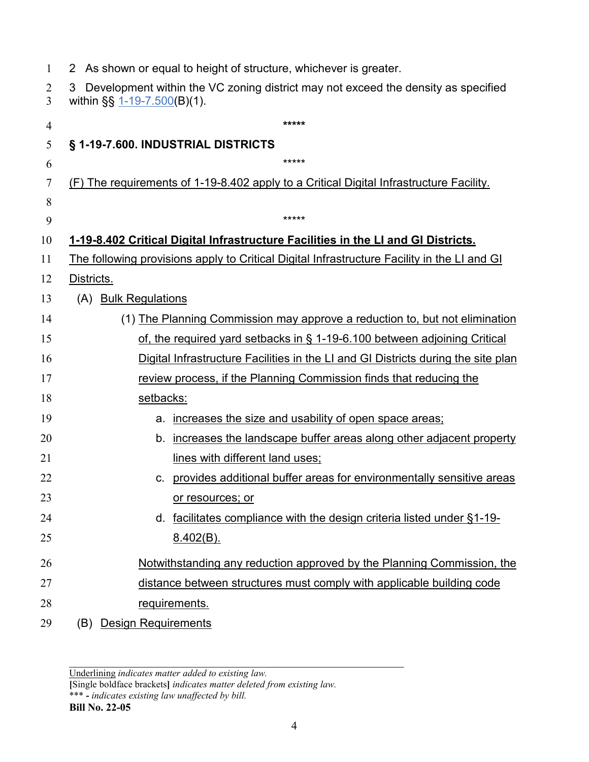| $\mathbf{1}$ | As shown or equal to height of structure, whichever is greater.                                                            |
|--------------|----------------------------------------------------------------------------------------------------------------------------|
| 2<br>3       | Development within the VC zoning district may not exceed the density as specified<br>3<br>within $\S\S 1-19-7.500(B)(1)$ . |
| 4            | *****                                                                                                                      |
| 5            | § 1-19-7.600. INDUSTRIAL DISTRICTS                                                                                         |
| 6            | *****                                                                                                                      |
| 7            | (F) The requirements of 1-19-8.402 apply to a Critical Digital Infrastructure Facility.                                    |
| 8            |                                                                                                                            |
| 9            | *****                                                                                                                      |
| 10           | 1-19-8.402 Critical Digital Infrastructure Facilities in the LI and GI Districts.                                          |
| 11           | The following provisions apply to Critical Digital Infrastructure Facility in the LI and GI                                |
| 12           | Districts.                                                                                                                 |
| 13           | (A) Bulk Regulations                                                                                                       |
| 14           | (1) The Planning Commission may approve a reduction to, but not elimination                                                |
| 15           | of, the required yard setbacks in § 1-19-6.100 between adjoining Critical                                                  |
| 16           | Digital Infrastructure Facilities in the LI and GI Districts during the site plan                                          |
| 17           | review process, if the Planning Commission finds that reducing the                                                         |
| 18           | setbacks:                                                                                                                  |
| 19           | increases the size and usability of open space areas;<br>a.                                                                |
| 20           | increases the landscape buffer areas along other adjacent property<br>b.                                                   |
| 21           | lines with different land uses;                                                                                            |
| 22           | provides additional buffer areas for environmentally sensitive areas<br>c.                                                 |
| 23           | or resources; or                                                                                                           |
| 24           | facilitates compliance with the design criteria listed under §1-19-<br>d.                                                  |
| 25           | <u>8.402(B).</u>                                                                                                           |
| 26           | Notwithstanding any reduction approved by the Planning Commission, the                                                     |
| 27           | distance between structures must comply with applicable building code                                                      |
| 28           | <u>requirements.</u>                                                                                                       |
| 29           | <b>Design Requirements</b><br>(B)                                                                                          |
|              |                                                                                                                            |

**[**Single boldface brackets**]** *indicates matter deleted from existing law.*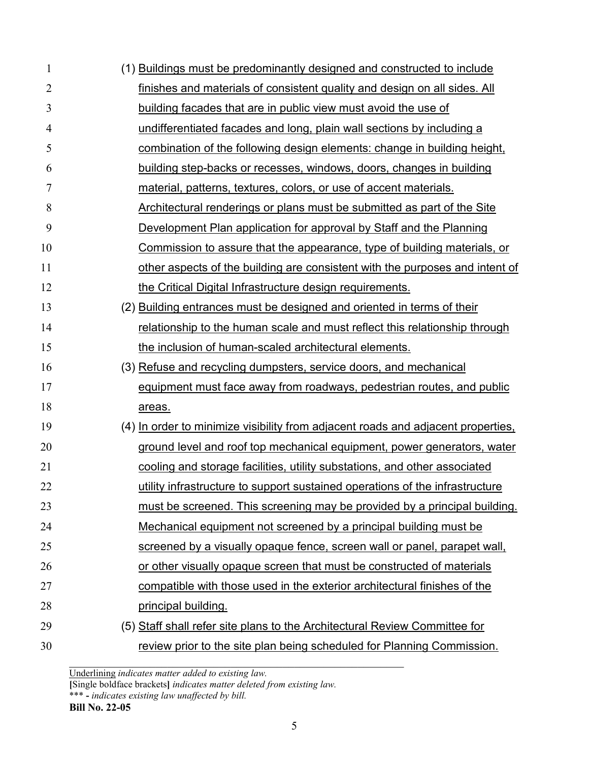| 1              | (1) Buildings must be predominantly designed and constructed to include          |
|----------------|----------------------------------------------------------------------------------|
| $\overline{2}$ | finishes and materials of consistent quality and design on all sides. All        |
| 3              | building facades that are in public view must avoid the use of                   |
| 4              | undifferentiated facades and long, plain wall sections by including a            |
| 5              | combination of the following design elements: change in building height,         |
| 6              | building step-backs or recesses, windows, doors, changes in building             |
| $\tau$         | material, patterns, textures, colors, or use of accent materials.                |
| 8              | Architectural renderings or plans must be submitted as part of the Site          |
| 9              | Development Plan application for approval by Staff and the Planning              |
| 10             | Commission to assure that the appearance, type of building materials, or         |
| 11             | other aspects of the building are consistent with the purposes and intent of     |
| 12             | the Critical Digital Infrastructure design requirements.                         |
| 13             | (2) Building entrances must be designed and oriented in terms of their           |
| 14             | relationship to the human scale and must reflect this relationship through       |
| 15             | the inclusion of human-scaled architectural elements.                            |
| 16             | (3) Refuse and recycling dumpsters, service doors, and mechanical                |
| 17             | equipment must face away from roadways, pedestrian routes, and public            |
| 18             | areas.                                                                           |
| 19             | (4) In order to minimize visibility from adjacent roads and adjacent properties. |
| 20             | ground level and roof top mechanical equipment, power generators, water          |
| 21             | cooling and storage facilities, utility substations, and other associated        |
| 22             | utility infrastructure to support sustained operations of the infrastructure     |
| 23             | must be screened. This screening may be provided by a principal building.        |
| 24             | Mechanical equipment not screened by a principal building must be                |
| 25             | screened by a visually opaque fence, screen wall or panel, parapet wall,         |
| 26             | or other visually opaque screen that must be constructed of materials            |
| 27             | compatible with those used in the exterior architectural finishes of the         |
| 28             | principal building.                                                              |
| 29             | (5) Staff shall refer site plans to the Architectural Review Committee for       |
| 30             | review prior to the site plan being scheduled for Planning Commission.           |

**[**Single boldface brackets**]** *indicates matter deleted from existing law.*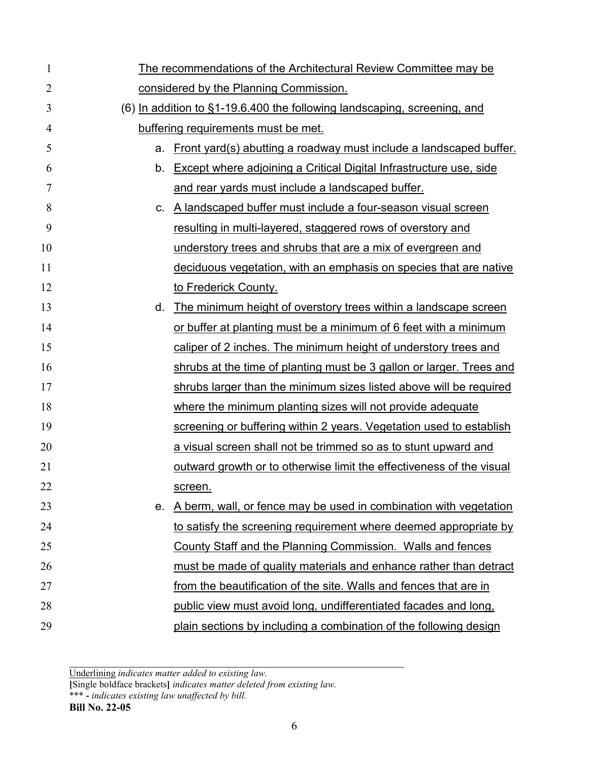| $\mathbf{1}$ | The recommendations of the Architectural Review Committee may be             |
|--------------|------------------------------------------------------------------------------|
| 2            | considered by the Planning Commission.                                       |
| 3            | $(6)$ In addition to $§1-19.6.400$ the following landscaping, screening, and |
| 4            | buffering requirements must be met.                                          |
| 5            | Front yard(s) abutting a roadway must include a landscaped buffer.<br>а.     |
| 6            | Except where adjoining a Critical Digital Infrastructure use, side<br>b.     |
| 7            | and rear yards must include a landscaped buffer.                             |
| 8            | A landscaped buffer must include a four-season visual screen<br>C.           |
| 9            | resulting in multi-layered, staggered rows of overstory and                  |
| 10           | understory trees and shrubs that are a mix of evergreen and                  |
| 11           | deciduous vegetation, with an emphasis on species that are native            |
| 12           | to Frederick County.                                                         |
| 13           | The minimum height of overstory trees within a landscape screen<br>d.        |
| 14           | or buffer at planting must be a minimum of 6 feet with a minimum             |
| 15           | caliper of 2 inches. The minimum height of understory trees and              |
| 16           | shrubs at the time of planting must be 3 gallon or larger. Trees and         |
| 17           | shrubs larger than the minimum sizes listed above will be required           |
| 18           | where the minimum planting sizes will not provide adequate                   |
| 19           | screening or buffering within 2 years. Vegetation used to establish          |
| 20           | a visual screen shall not be trimmed so as to stunt upward and               |
| 21           | outward growth or to otherwise limit the effectiveness of the visual         |
| 22           | screen.                                                                      |
| 23           | A berm, wall, or fence may be used in combination with vegetation<br>е.      |
| 24           | to satisfy the screening requirement where deemed appropriate by             |
| 25           | County Staff and the Planning Commission. Walls and fences                   |
| 26           | must be made of quality materials and enhance rather than detract            |
| 27           | from the beautification of the site. Walls and fences that are in            |
| 28           | public view must avoid long, undifferentiated facades and long,              |
| 29           | plain sections by including a combination of the following design            |

**[**Single boldface brackets**]** *indicates matter deleted from existing law.*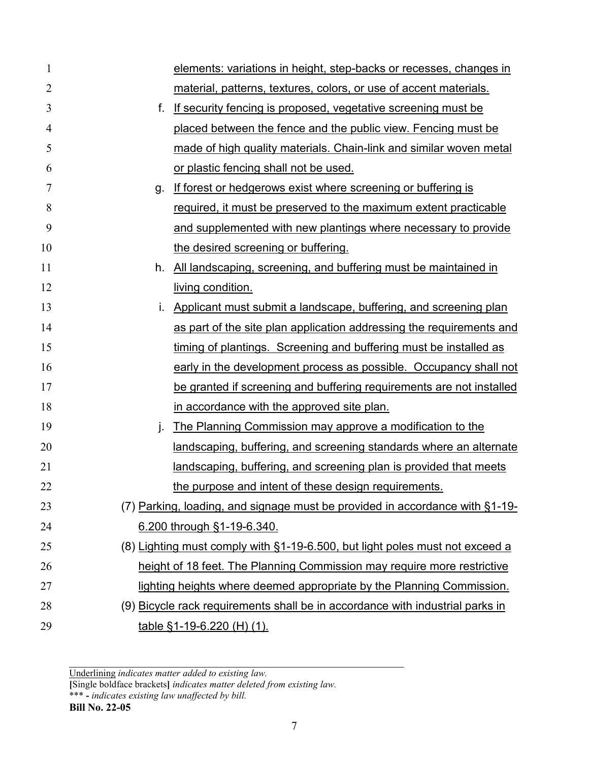| $\mathbf{1}$   | elements: variations in height, step-backs or recesses, changes in            |
|----------------|-------------------------------------------------------------------------------|
| $\overline{2}$ | material, patterns, textures, colors, or use of accent materials.             |
| 3              | If security fencing is proposed, vegetative screening must be<br>f.           |
| $\overline{4}$ | placed between the fence and the public view. Fencing must be                 |
| 5              | made of high quality materials. Chain-link and similar woven metal            |
| 6              | or plastic fencing shall not be used.                                         |
| 7              | If forest or hedgerows exist where screening or buffering is<br>g.            |
| 8              | required, it must be preserved to the maximum extent practicable              |
| 9              | and supplemented with new plantings where necessary to provide                |
| 10             | the desired screening or buffering.                                           |
| 11             | All landscaping, screening, and buffering must be maintained in<br>h.         |
| 12             | living condition.                                                             |
| 13             | Applicant must submit a landscape, buffering, and screening plan              |
| 14             | as part of the site plan application addressing the requirements and          |
| 15             | timing of plantings. Screening and buffering must be installed as             |
| 16             | early in the development process as possible. Occupancy shall not             |
| 17             | be granted if screening and buffering requirements are not installed          |
| 18             | in accordance with the approved site plan.                                    |
| 19             | The Planning Commission may approve a modification to the<br>j.               |
| 20             | landscaping, buffering, and screening standards where an alternate            |
| 21             | landscaping, buffering, and screening plan is provided that meets             |
| 22             | the purpose and intent of these design requirements.                          |
| 23             | (7) Parking, loading, and signage must be provided in accordance with §1-19-  |
| 24             | 6.200 through §1-19-6.340.                                                    |
| 25             | (8) Lighting must comply with §1-19-6.500, but light poles must not exceed a  |
| 26             | height of 18 feet. The Planning Commission may require more restrictive       |
| 27             | lighting heights where deemed appropriate by the Planning Commission.         |
| 28             | (9) Bicycle rack requirements shall be in accordance with industrial parks in |
| 29             | <u>table §1-19-6.220 (H) (1).</u>                                             |

**[**Single boldface brackets**]** *indicates matter deleted from existing law.*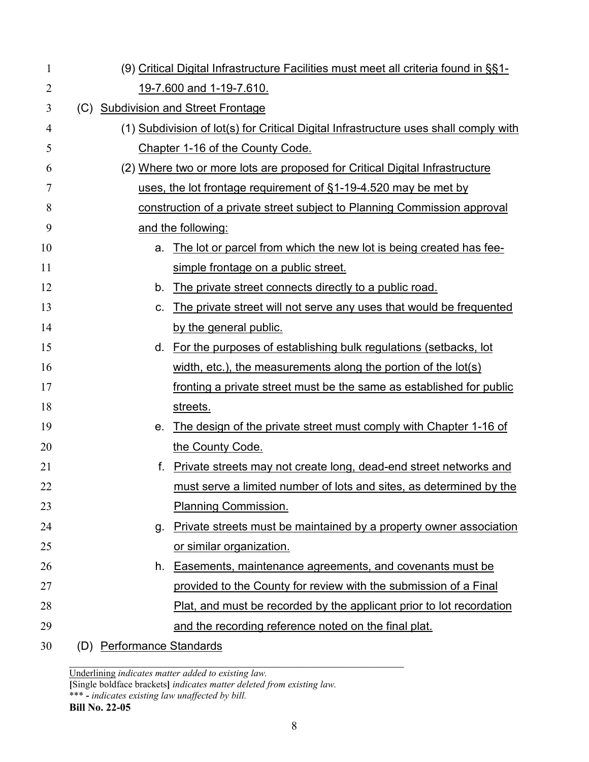| 1  |                           | (9) Critical Digital Infrastructure Facilities must meet all criteria found in §§1-  |
|----|---------------------------|--------------------------------------------------------------------------------------|
| 2  |                           | 19-7.600 and 1-19-7.610.                                                             |
| 3  |                           | (C) Subdivision and Street Frontage                                                  |
| 4  |                           | (1) Subdivision of lot(s) for Critical Digital Infrastructure uses shall comply with |
| 5  |                           | Chapter 1-16 of the County Code.                                                     |
| 6  |                           | (2) Where two or more lots are proposed for Critical Digital Infrastructure          |
| 7  |                           | uses, the lot frontage requirement of §1-19-4.520 may be met by                      |
| 8  |                           | construction of a private street subject to Planning Commission approval             |
| 9  |                           | and the following:                                                                   |
| 10 | a.                        | The lot or parcel from which the new lot is being created has fee-                   |
| 11 |                           | simple frontage on a public street.                                                  |
| 12 | b.                        | The private street connects directly to a public road.                               |
| 13 | C.                        | The private street will not serve any uses that would be frequented                  |
| 14 |                           | by the general public.                                                               |
| 15 | d.                        | For the purposes of establishing bulk regulations (setbacks, lot                     |
| 16 |                           | width, etc.), the measurements along the portion of the $\text{lot}(s)$              |
| 17 |                           | fronting a private street must be the same as established for public                 |
| 18 |                           | streets.                                                                             |
| 19 | е.                        | The design of the private street must comply with Chapter 1-16 of                    |
| 20 |                           | the County Code.                                                                     |
| 21 | f.                        | Private streets may not create long, dead-end street networks and                    |
| 22 |                           | <u>must serve a limited number of lots and sites, as determined by the</u>           |
| 23 |                           | <b>Planning Commission.</b>                                                          |
| 24 | g.                        | Private streets must be maintained by a property owner association                   |
| 25 |                           | or similar organization.                                                             |
| 26 | h.                        | Easements, maintenance agreements, and covenants must be                             |
| 27 |                           | provided to the County for review with the submission of a Final                     |
| 28 |                           | Plat, and must be recorded by the applicant prior to lot recordation                 |
| 29 |                           | and the recording reference noted on the final plat.                                 |
| 30 | (D) Performance Standards |                                                                                      |

**[**Single boldface brackets**]** *indicates matter deleted from existing law.*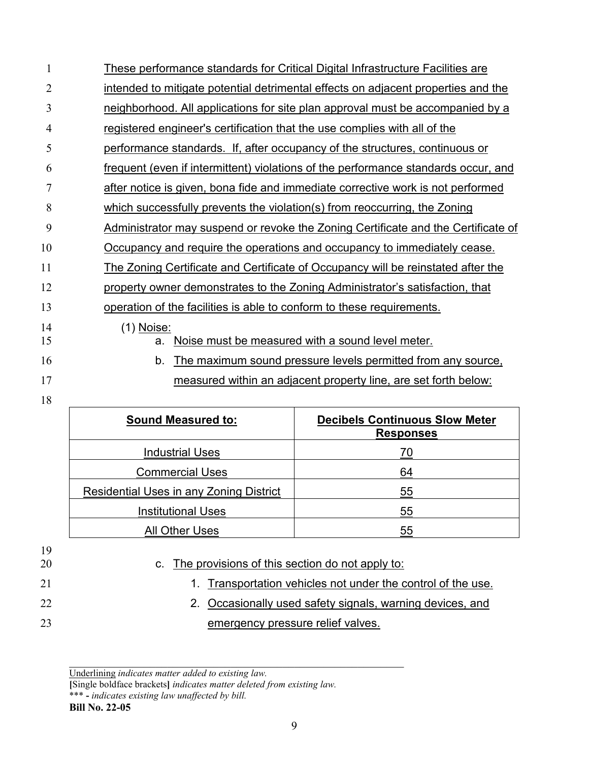| 1  | These performance standards for Critical Digital Infrastructure Facilities are     |
|----|------------------------------------------------------------------------------------|
| 2  | intended to mitigate potential detrimental effects on adjacent properties and the  |
| 3  | neighborhood. All applications for site plan approval must be accompanied by a     |
| 4  | registered engineer's certification that the use complies with all of the          |
| 5  | performance standards. If, after occupancy of the structures, continuous or        |
| 6  | frequent (even if intermittent) violations of the performance standards occur, and |
| 7  | after notice is given, bona fide and immediate corrective work is not performed    |
| 8  | which successfully prevents the violation(s) from reoccurring, the Zoning          |
| 9  | Administrator may suspend or revoke the Zoning Certificate and the Certificate of  |
| 10 | Occupancy and require the operations and occupancy to immediately cease.           |
| 11 | The Zoning Certificate and Certificate of Occupancy will be reinstated after the   |
| 12 | property owner demonstrates to the Zoning Administrator's satisfaction, that       |
| 13 | operation of the facilities is able to conform to these requirements.              |
| 14 | <u>(1) Noise:</u>                                                                  |
| 15 | Noise must be measured with a sound level meter.<br>a.                             |
| 16 | The maximum sound pressure levels permitted from any source,<br>b.                 |
| 17 | measured within an adjacent property line, are set forth below:                    |

## 

| <b>Decibels Continuous Slow Meter</b><br><b>Responses</b> |
|-----------------------------------------------------------|
| 70                                                        |
| 64                                                        |
| 55                                                        |
| 55                                                        |
| 55                                                        |
|                                                           |

- c. The provisions of this section do not apply to:
- 21 1. Transportation vehicles not under the control of the use.
- 22 22 2. Occasionally used safety signals, warning devices, and **emergency pressure relief valves.**

**[**Single boldface brackets**]** *indicates matter deleted from existing law.*

Underlining *indicates matter added to existing law.*

<sup>\*\*\*</sup> **-** *indicates existing law unaffected by bill.*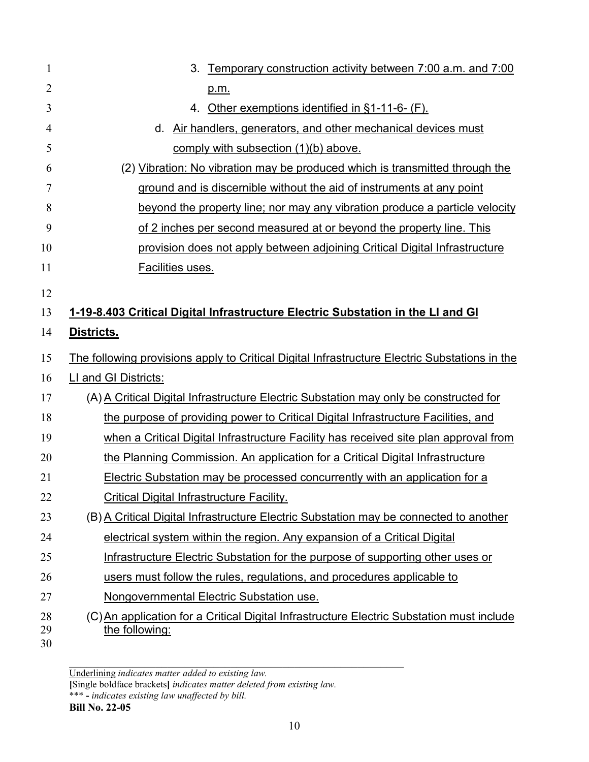| 1              | 3.<br>Temporary construction activity between 7:00 a.m. and 7:00                                            |
|----------------|-------------------------------------------------------------------------------------------------------------|
| $\overline{2}$ | p.m.                                                                                                        |
| 3              | Other exemptions identified in §1-11-6- (F).<br>4.                                                          |
| $\overline{4}$ | d. Air handlers, generators, and other mechanical devices must                                              |
| 5              | comply with subsection (1)(b) above.                                                                        |
| 6              | (2) Vibration: No vibration may be produced which is transmitted through the                                |
| 7              | ground and is discernible without the aid of instruments at any point                                       |
| 8              | beyond the property line; nor may any vibration produce a particle velocity                                 |
| 9              | of 2 inches per second measured at or beyond the property line. This                                        |
| 10             | provision does not apply between adjoining Critical Digital Infrastructure                                  |
| 11             | Facilities uses.                                                                                            |
| 12             |                                                                                                             |
| 13             | 1-19-8.403 Critical Digital Infrastructure Electric Substation in the LI and GI                             |
| 14             | Districts.                                                                                                  |
| 15             | The following provisions apply to Critical Digital Infrastructure Electric Substations in the               |
| 16             | LI and GI Districts:                                                                                        |
| 17             | (A) A Critical Digital Infrastructure Electric Substation may only be constructed for                       |
| 18             | the purpose of providing power to Critical Digital Infrastructure Facilities, and                           |
| 19             | when a Critical Digital Infrastructure Facility has received site plan approval from                        |
| 20             | the Planning Commission. An application for a Critical Digital Infrastructure                               |
| 21             | <b>Electric Substation may be processed concurrently with an application for a</b>                          |
| 22             | <b>Critical Digital Infrastructure Facility.</b>                                                            |
| 23             | (B) A Critical Digital Infrastructure Electric Substation may be connected to another                       |
| 24             | electrical system within the region. Any expansion of a Critical Digital                                    |
| 25             | Infrastructure Electric Substation for the purpose of supporting other uses or                              |
| 26             | users must follow the rules, regulations, and procedures applicable to                                      |
| 27             | Nongovernmental Electric Substation use.                                                                    |
| 28<br>29<br>30 | (C) An application for a Critical Digital Infrastructure Electric Substation must include<br>the following: |

**[**Single boldface brackets**]** *indicates matter deleted from existing law.*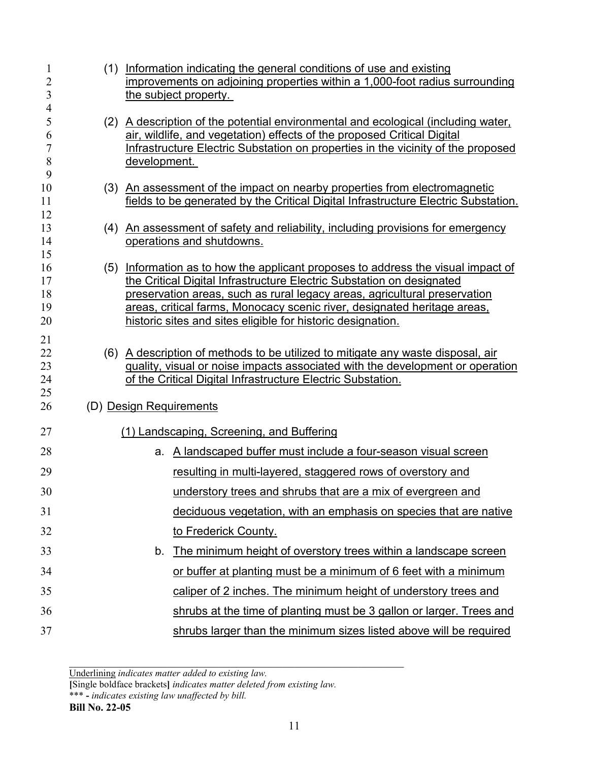| 1<br>$\overline{2}$<br>3         |              | (1) Information indicating the general conditions of use and existing<br>improvements on adjoining properties within a 1,000-foot radius surrounding<br>the subject property.                                                                                                                                                                                                     |
|----------------------------------|--------------|-----------------------------------------------------------------------------------------------------------------------------------------------------------------------------------------------------------------------------------------------------------------------------------------------------------------------------------------------------------------------------------|
| 4<br>5<br>6<br>7<br>8<br>9       | development. | (2) A description of the potential environmental and ecological (including water,<br>air, wildlife, and vegetation) effects of the proposed Critical Digital<br>Infrastructure Electric Substation on properties in the vicinity of the proposed                                                                                                                                  |
| 10<br>11<br>12                   |              | (3) An assessment of the impact on nearby properties from electromagnetic<br>fields to be generated by the Critical Digital Infrastructure Electric Substation.                                                                                                                                                                                                                   |
| 13<br>14                         |              | (4) An assessment of safety and reliability, including provisions for emergency<br>operations and shutdowns.                                                                                                                                                                                                                                                                      |
| 15<br>16<br>17<br>18<br>19<br>20 |              | (5) Information as to how the applicant proposes to address the visual impact of<br>the Critical Digital Infrastructure Electric Substation on designated<br>preservation areas, such as rural legacy areas, agricultural preservation<br>areas, critical farms, Monocacy scenic river, designated heritage areas,<br>historic sites and sites eligible for historic designation. |
| 21<br>22<br>23<br>24<br>25<br>26 |              | (6) A description of methods to be utilized to mitigate any waste disposal, air<br>quality, visual or noise impacts associated with the development or operation<br>of the Critical Digital Infrastructure Electric Substation.<br>(D) Design Requirements                                                                                                                        |
| 27                               |              | (1) Landscaping, Screening, and Buffering                                                                                                                                                                                                                                                                                                                                         |
| 28                               |              | a. A landscaped buffer must include a four-season visual screen                                                                                                                                                                                                                                                                                                                   |
| 29                               |              | resulting in multi-layered, staggered rows of overstory and                                                                                                                                                                                                                                                                                                                       |
| 30                               |              | understory trees and shrubs that are a mix of evergreen and                                                                                                                                                                                                                                                                                                                       |
| 31                               |              | deciduous vegetation, with an emphasis on species that are native                                                                                                                                                                                                                                                                                                                 |
| 32                               |              | to Frederick County.                                                                                                                                                                                                                                                                                                                                                              |
| 33                               | b.           | The minimum height of overstory trees within a landscape screen                                                                                                                                                                                                                                                                                                                   |
| 34                               |              | or buffer at planting must be a minimum of 6 feet with a minimum                                                                                                                                                                                                                                                                                                                  |
| 35                               |              | caliper of 2 inches. The minimum height of understory trees and                                                                                                                                                                                                                                                                                                                   |
| 36                               |              | shrubs at the time of planting must be 3 gallon or larger. Trees and                                                                                                                                                                                                                                                                                                              |
| 37                               |              | shrubs larger than the minimum sizes listed above will be required                                                                                                                                                                                                                                                                                                                |

**[**Single boldface brackets**]** *indicates matter deleted from existing law.* \*\*\* **-** *indicates existing law unaffected by bill.*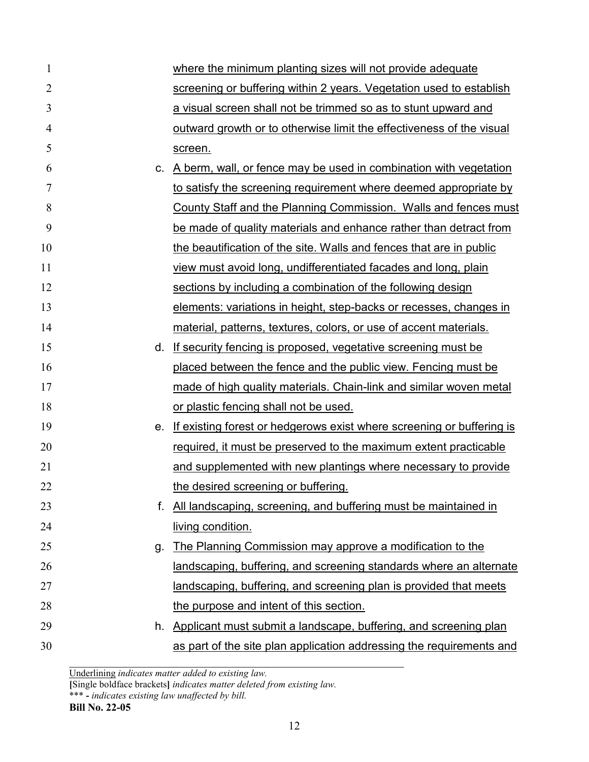| $\mathbf{1}$   |    | where the minimum planting sizes will not provide adequate            |
|----------------|----|-----------------------------------------------------------------------|
| 2              |    | screening or buffering within 2 years. Vegetation used to establish   |
| 3              |    | a visual screen shall not be trimmed so as to stunt upward and        |
| $\overline{4}$ |    | outward growth or to otherwise limit the effectiveness of the visual  |
| 5              |    | screen.                                                               |
| 6              | C. | A berm, wall, or fence may be used in combination with vegetation     |
| 7              |    | to satisfy the screening requirement where deemed appropriate by      |
| 8              |    | County Staff and the Planning Commission. Walls and fences must       |
| 9              |    | be made of quality materials and enhance rather than detract from     |
| 10             |    | the beautification of the site. Walls and fences that are in public   |
| 11             |    | view must avoid long, undifferentiated facades and long, plain        |
| 12             |    | sections by including a combination of the following design           |
| 13             |    | elements: variations in height, step-backs or recesses, changes in    |
| 14             |    | material, patterns, textures, colors, or use of accent materials.     |
| 15             | d. | If security fencing is proposed, vegetative screening must be         |
| 16             |    | placed between the fence and the public view. Fencing must be         |
| 17             |    | made of high quality materials. Chain-link and similar woven metal    |
| 18             |    | or plastic fencing shall not be used.                                 |
| 19             | е. | If existing forest or hedgerows exist where screening or buffering is |
| 20             |    | required, it must be preserved to the maximum extent practicable      |
| 21             |    | and supplemented with new plantings where necessary to provide        |
| 22             |    | the desired screening or buffering.                                   |
| 23             | f. | All landscaping, screening, and buffering must be maintained in       |
| 24             |    | living condition.                                                     |
| 25             | g. | The Planning Commission may approve a modification to the             |
| 26             |    | landscaping, buffering, and screening standards where an alternate    |
| 27             |    | landscaping, buffering, and screening plan is provided that meets     |
| 28             |    | the purpose and intent of this section.                               |
| 29             | h. | Applicant must submit a landscape, buffering, and screening plan      |
| 30             |    | as part of the site plan application addressing the requirements and  |

**[**Single boldface brackets**]** *indicates matter deleted from existing law.* \*\*\* **-** *indicates existing law unaffected by bill.*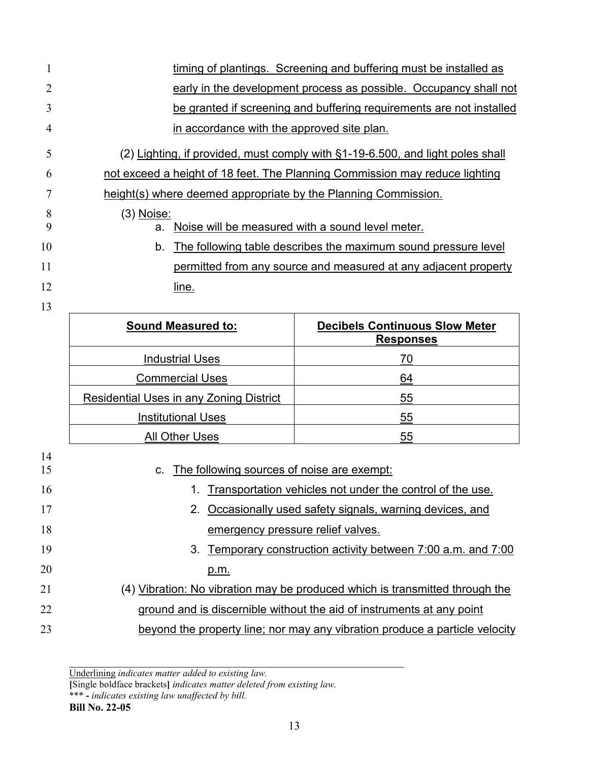| 1  |                                                                | timing of plantings. Screening and buffering must be installed as              |
|----|----------------------------------------------------------------|--------------------------------------------------------------------------------|
| 2  |                                                                | early in the development process as possible. Occupancy shall not              |
| 3  |                                                                | be granted if screening and buffering requirements are not installed           |
| 4  | in accordance with the approved site plan.                     |                                                                                |
| 5  |                                                                | (2) Lighting, if provided, must comply with §1-19-6.500, and light poles shall |
| 6  |                                                                | not exceed a height of 18 feet. The Planning Commission may reduce lighting    |
| 7  | height(s) where deemed appropriate by the Planning Commission. |                                                                                |
| 8  | (3) <u>Noise:</u>                                              |                                                                                |
| 9  | a.                                                             | Noise will be measured with a sound level meter.                               |
| 10 | b.                                                             | The following table describes the maximum sound pressure level                 |
| 11 |                                                                | permitted from any source and measured at any adjacent property                |
| 12 | line.                                                          |                                                                                |
| 13 |                                                                |                                                                                |
|    | <b>Sound Measured to:</b>                                      | <b>Decibels Continuous Slow Meter</b><br><b>Responses</b>                      |
|    | <b>Industrial Uses</b>                                         | 70                                                                             |
|    | <b>Commercial Uses</b>                                         | 64                                                                             |
|    | <b>Residential Uses in any Zoning District</b>                 | 55                                                                             |
|    | <b>Institutional Uses</b>                                      | 55                                                                             |
|    | <b>All Other Uses</b>                                          | 55                                                                             |
| 14 |                                                                |                                                                                |

| 14 |                                                                              |
|----|------------------------------------------------------------------------------|
| 15 | c. The following sources of noise are exempt:                                |
| 16 | Transportation vehicles not under the control of the use.                    |
| 17 | 2. Occasionally used safety signals, warning devices, and                    |
| 18 | emergency pressure relief valves.                                            |
| 19 | 3. Temporary construction activity between 7:00 a.m. and 7:00                |
| 20 | p.m.                                                                         |
| 21 | (4) Vibration: No vibration may be produced which is transmitted through the |
| 22 | ground and is discernible without the aid of instruments at any point        |
| 23 | beyond the property line; nor may any vibration produce a particle velocity  |

**[**Single boldface brackets**]** *indicates matter deleted from existing law.*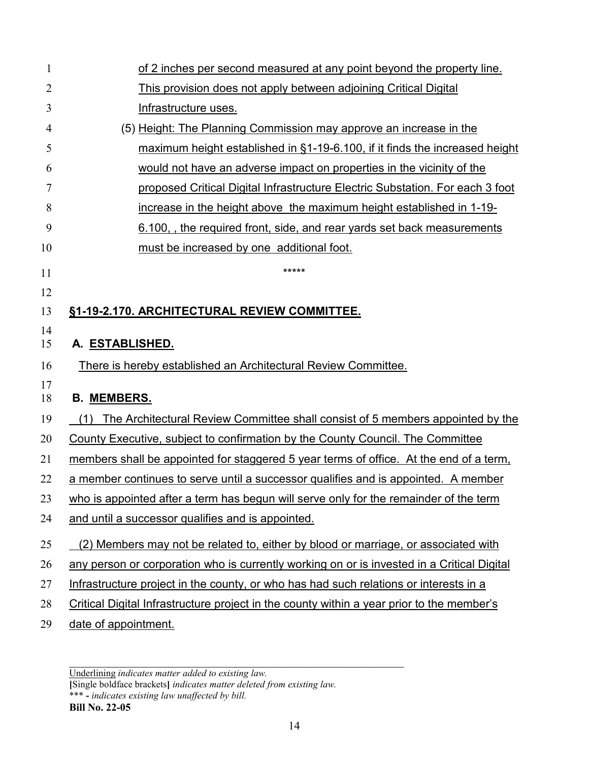| 1              | of 2 inches per second measured at any point beyond the property line.                     |
|----------------|--------------------------------------------------------------------------------------------|
| $\overline{2}$ | This provision does not apply between adjoining Critical Digital                           |
| 3              | <b>Infrastructure uses.</b>                                                                |
| 4              | (5) Height: The Planning Commission may approve an increase in the                         |
| 5              | maximum height established in $\S1-19-6.100$ , if it finds the increased height            |
| 6              | would not have an adverse impact on properties in the vicinity of the                      |
| 7              | proposed Critical Digital Infrastructure Electric Substation. For each 3 foot              |
| 8              | increase in the height above the maximum height established in 1-19-                       |
| 9              | 6.100, the required front, side, and rear yards set back measurements                      |
| 10             | must be increased by one additional foot.                                                  |
| 11             | *****                                                                                      |
| 12             |                                                                                            |
| 13             | §1-19-2.170. ARCHITECTURAL REVIEW COMMITTEE.                                               |
| 14             |                                                                                            |
| 15             | A. ESTABLISHED.                                                                            |
| 16             | There is hereby established an Architectural Review Committee.                             |
| 17<br>18       | <b>B. MEMBERS.</b>                                                                         |
| 19             | (1) The Architectural Review Committee shall consist of 5 members appointed by the         |
| 20             | County Executive, subject to confirmation by the County Council. The Committee             |
| 21             | members shall be appointed for staggered 5 year terms of office. At the end of a term,     |
| 22             | a member continues to serve until a successor qualifies and is appointed. A member         |
| 23             | who is appointed after a term has begun will serve only for the remainder of the term      |
| 24             | and until a successor qualifies and is appointed.                                          |
| 25             | (2) Members may not be related to, either by blood or marriage, or associated with         |
| 26             | any person or corporation who is currently working on or is invested in a Critical Digital |
| 27             | Infrastructure project in the county, or who has had such relations or interests in a      |
| 28             | Critical Digital Infrastructure project in the county within a year prior to the member's  |
| 29             | date of appointment.                                                                       |

**[**Single boldface brackets**]** *indicates matter deleted from existing law.* \*\*\* **-** *indicates existing law unaffected by bill.*

Underlining *indicates matter added to existing law.*